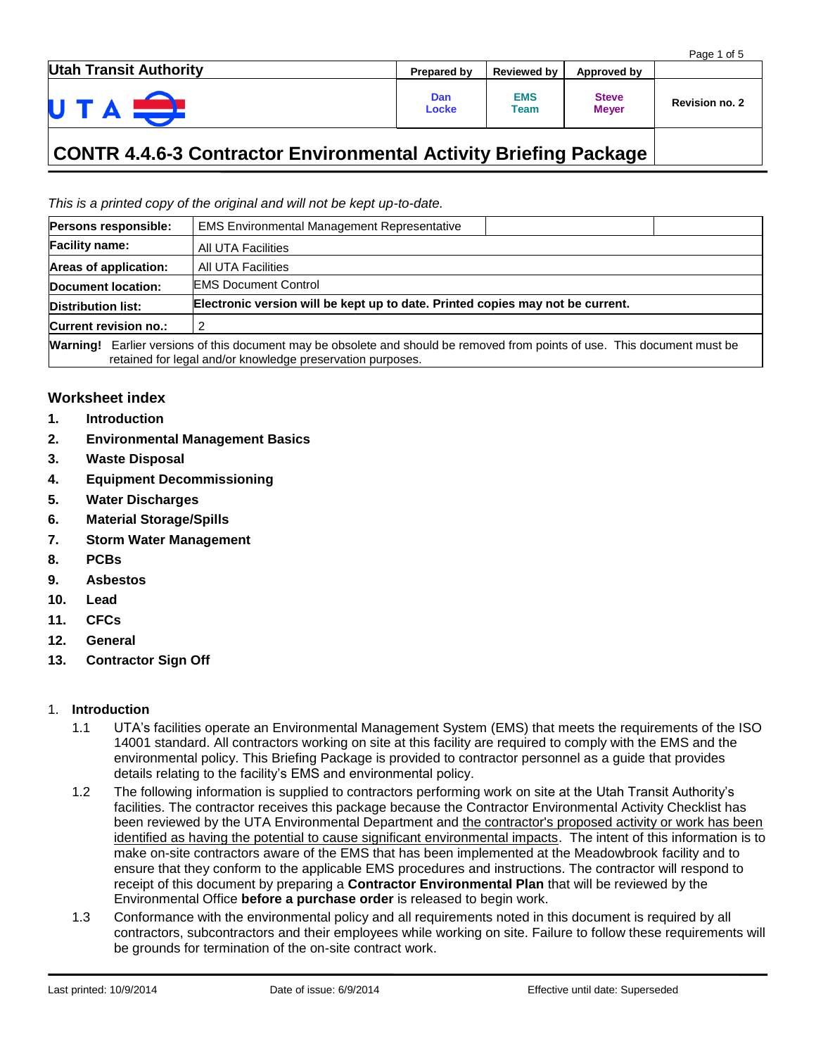| <b>Utah Transit Authority</b> | Prepared by  | Reviewed by        | Approved by                  | raye i vi J           |
|-------------------------------|--------------|--------------------|------------------------------|-----------------------|
| U T                           | Dan<br>Locke | <b>EMS</b><br>Team | <b>Steve</b><br><b>Meyer</b> | <b>Revision no. 2</b> |

#### *This is a printed copy of the original and will not be kept up-to-date.*

| Persons responsible:  | <b>EMS Environmental Management Representative</b>                                                                                                                              |
|-----------------------|---------------------------------------------------------------------------------------------------------------------------------------------------------------------------------|
| <b>Facility name:</b> | All UTA Facilities                                                                                                                                                              |
| Areas of application: | All UTA Facilities                                                                                                                                                              |
| Document location:    | <b>EMS Document Control</b>                                                                                                                                                     |
| Distribution list:    | Electronic version will be kept up to date. Printed copies may not be current.                                                                                                  |
| Current revision no.: | 2                                                                                                                                                                               |
| <b>Warning!</b>       | Earlier versions of this document may be obsolete and should be removed from points of use. This document must be<br>retained for legal and/or knowledge preservation purposes. |

### **Worksheet index**

- **1. Introduction**
- **2. Environmental Management Basics**
- **3. Waste Disposal**
- **4. Equipment Decommissioning**
- **5. Water Discharges**
- **6. Material Storage/Spills**
- **7. Storm Water Management**
- **8. PCBs**
- **9. Asbestos**
- **10. Lead**
- **11. CFCs**
- **12. General**
- **13. Contractor Sign Off**

#### 1. **Introduction**

- 1.1 UTA's facilities operate an Environmental Management System (EMS) that meets the requirements of the ISO 14001 standard. All contractors working on site at this facility are required to comply with the EMS and the environmental policy. This Briefing Package is provided to contractor personnel as a guide that provides details relating to the facility's EMS and environmental policy.
- 1.2 The following information is supplied to contractors performing work on site at the Utah Transit Authority's facilities. The contractor receives this package because the Contractor Environmental Activity Checklist has been reviewed by the UTA Environmental Department and the contractor's proposed activity or work has been identified as having the potential to cause significant environmental impacts. The intent of this information is to make on-site contractors aware of the EMS that has been implemented at the Meadowbrook facility and to ensure that they conform to the applicable EMS procedures and instructions. The contractor will respond to receipt of this document by preparing a **Contractor Environmental Plan** that will be reviewed by the Environmental Office **before a purchase order** is released to begin work.
- 1.3 Conformance with the environmental policy and all requirements noted in this document is required by all contractors, subcontractors and their employees while working on site. Failure to follow these requirements will be grounds for termination of the on-site contract work.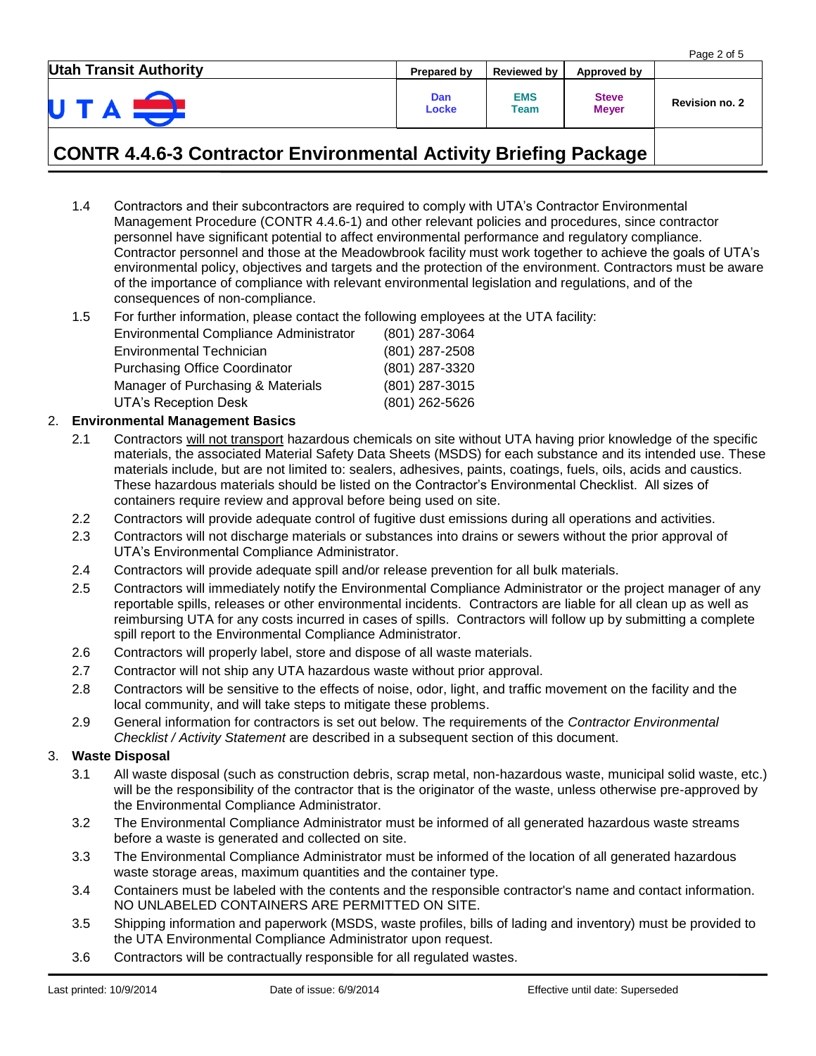| <b>Utah Transit Authority</b> | <b>Prepared by</b> | <b>Reviewed by</b>       | Approved by                  |                       |
|-------------------------------|--------------------|--------------------------|------------------------------|-----------------------|
| U T                           | Dan<br>Locke       | <b>EMS</b><br>$\tau$ eam | <b>Steve</b><br><b>Meyer</b> | <b>Revision no. 2</b> |

- 1.4 Contractors and their subcontractors are required to comply with UTA's Contractor Environmental Management Procedure (CONTR 4.4.6-1) and other relevant policies and procedures, since contractor personnel have significant potential to affect environmental performance and regulatory compliance. Contractor personnel and those at the Meadowbrook facility must work together to achieve the goals of UTA's environmental policy, objectives and targets and the protection of the environment. Contractors must be aware of the importance of compliance with relevant environmental legislation and regulations, and of the consequences of non-compliance.
- 1.5 For further information, please contact the following employees at the UTA facility:

| <b>Environmental Compliance Administrator</b> | (801) 287-3064 |
|-----------------------------------------------|----------------|
| <b>Environmental Technician</b>               | (801) 287-2508 |
| <b>Purchasing Office Coordinator</b>          | (801) 287-3320 |
| Manager of Purchasing & Materials             | (801) 287-3015 |
| <b>UTA's Reception Desk</b>                   | (801) 262-5626 |

### 2. **Environmental Management Basics**

- 2.1 Contractors will not transport hazardous chemicals on site without UTA having prior knowledge of the specific materials, the associated Material Safety Data Sheets (MSDS) for each substance and its intended use. These materials include, but are not limited to: sealers, adhesives, paints, coatings, fuels, oils, acids and caustics. These hazardous materials should be listed on the Contractor's Environmental Checklist. All sizes of containers require review and approval before being used on site.
- 2.2 Contractors will provide adequate control of fugitive dust emissions during all operations and activities.
- 2.3 Contractors will not discharge materials or substances into drains or sewers without the prior approval of UTA's Environmental Compliance Administrator.
- 2.4 Contractors will provide adequate spill and/or release prevention for all bulk materials.
- 2.5 Contractors will immediately notify the Environmental Compliance Administrator or the project manager of any reportable spills, releases or other environmental incidents. Contractors are liable for all clean up as well as reimbursing UTA for any costs incurred in cases of spills. Contractors will follow up by submitting a complete spill report to the Environmental Compliance Administrator.
- 2.6 Contractors will properly label, store and dispose of all waste materials.
- 2.7 Contractor will not ship any UTA hazardous waste without prior approval.
- 2.8 Contractors will be sensitive to the effects of noise, odor, light, and traffic movement on the facility and the local community, and will take steps to mitigate these problems.
- 2.9 General information for contractors is set out below. The requirements of the *Contractor Environmental Checklist / Activity Statement* are described in a subsequent section of this document.

#### 3. **Waste Disposal**

- 3.1 All waste disposal (such as construction debris, scrap metal, non-hazardous waste, municipal solid waste, etc.) will be the responsibility of the contractor that is the originator of the waste, unless otherwise pre-approved by the Environmental Compliance Administrator.
- 3.2 The Environmental Compliance Administrator must be informed of all generated hazardous waste streams before a waste is generated and collected on site.
- 3.3 The Environmental Compliance Administrator must be informed of the location of all generated hazardous waste storage areas, maximum quantities and the container type.
- 3.4 Containers must be labeled with the contents and the responsible contractor's name and contact information. NO UNLABELED CONTAINERS ARE PERMITTED ON SITE.
- 3.5 Shipping information and paperwork (MSDS, waste profiles, bills of lading and inventory) must be provided to the UTA Environmental Compliance Administrator upon request.
- 3.6 Contractors will be contractually responsible for all regulated wastes.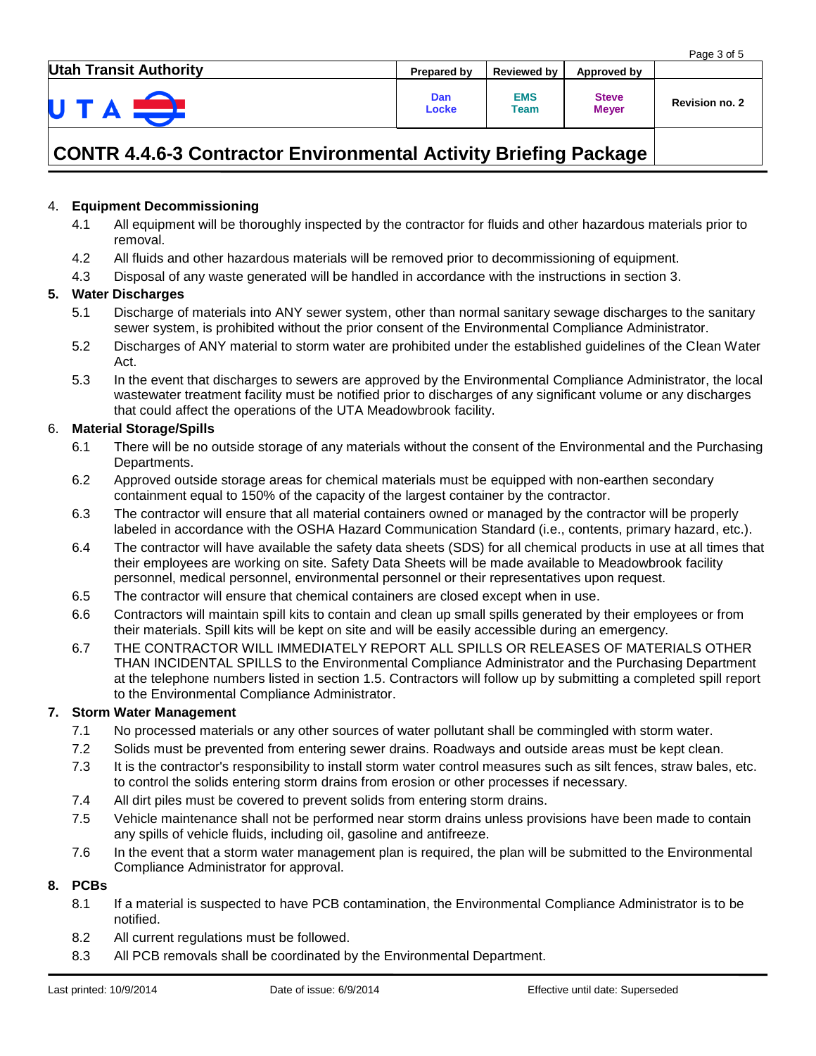| <b>Utah Transit Authority</b> | <b>Prepared by</b> | Reviewed by        | Approved by                  |                       |
|-------------------------------|--------------------|--------------------|------------------------------|-----------------------|
| U T                           | Dan<br>Locke       | <b>EMS</b><br>Team | <b>Steve</b><br><b>Meyer</b> | <b>Revision no. 2</b> |

#### 4. **Equipment Decommissioning**

- 4.1 All equipment will be thoroughly inspected by the contractor for fluids and other hazardous materials prior to removal.
- 4.2 All fluids and other hazardous materials will be removed prior to decommissioning of equipment.
- 4.3 Disposal of any waste generated will be handled in accordance with the instructions in section 3.

#### **5. Water Discharges**

- 5.1 Discharge of materials into ANY sewer system, other than normal sanitary sewage discharges to the sanitary sewer system, is prohibited without the prior consent of the Environmental Compliance Administrator.
- 5.2 Discharges of ANY material to storm water are prohibited under the established guidelines of the Clean Water Act.
- 5.3 In the event that discharges to sewers are approved by the Environmental Compliance Administrator, the local wastewater treatment facility must be notified prior to discharges of any significant volume or any discharges that could affect the operations of the UTA Meadowbrook facility.

#### 6. **Material Storage/Spills**

- 6.1 There will be no outside storage of any materials without the consent of the Environmental and the Purchasing Departments.
- 6.2 Approved outside storage areas for chemical materials must be equipped with non-earthen secondary containment equal to 150% of the capacity of the largest container by the contractor.
- 6.3 The contractor will ensure that all material containers owned or managed by the contractor will be properly labeled in accordance with the OSHA Hazard Communication Standard (i.e., contents, primary hazard, etc.).
- 6.4 The contractor will have available the safety data sheets (SDS) for all chemical products in use at all times that their employees are working on site. Safety Data Sheets will be made available to Meadowbrook facility personnel, medical personnel, environmental personnel or their representatives upon request.
- 6.5 The contractor will ensure that chemical containers are closed except when in use.
- 6.6 Contractors will maintain spill kits to contain and clean up small spills generated by their employees or from their materials. Spill kits will be kept on site and will be easily accessible during an emergency.
- 6.7 THE CONTRACTOR WILL IMMEDIATELY REPORT ALL SPILLS OR RELEASES OF MATERIALS OTHER THAN INCIDENTAL SPILLS to the Environmental Compliance Administrator and the Purchasing Department at the telephone numbers listed in section 1.5. Contractors will follow up by submitting a completed spill report to the Environmental Compliance Administrator.

#### **7. Storm Water Management**

- 7.1 No processed materials or any other sources of water pollutant shall be commingled with storm water.
- 7.2 Solids must be prevented from entering sewer drains. Roadways and outside areas must be kept clean.
- 7.3 It is the contractor's responsibility to install storm water control measures such as silt fences, straw bales, etc. to control the solids entering storm drains from erosion or other processes if necessary.
- 7.4 All dirt piles must be covered to prevent solids from entering storm drains.
- 7.5 Vehicle maintenance shall not be performed near storm drains unless provisions have been made to contain any spills of vehicle fluids, including oil, gasoline and antifreeze.
- 7.6 In the event that a storm water management plan is required, the plan will be submitted to the Environmental Compliance Administrator for approval.

#### **8. PCBs**

- 8.1 If a material is suspected to have PCB contamination, the Environmental Compliance Administrator is to be notified.
- 8.2 All current regulations must be followed.
- 8.3 All PCB removals shall be coordinated by the Environmental Department.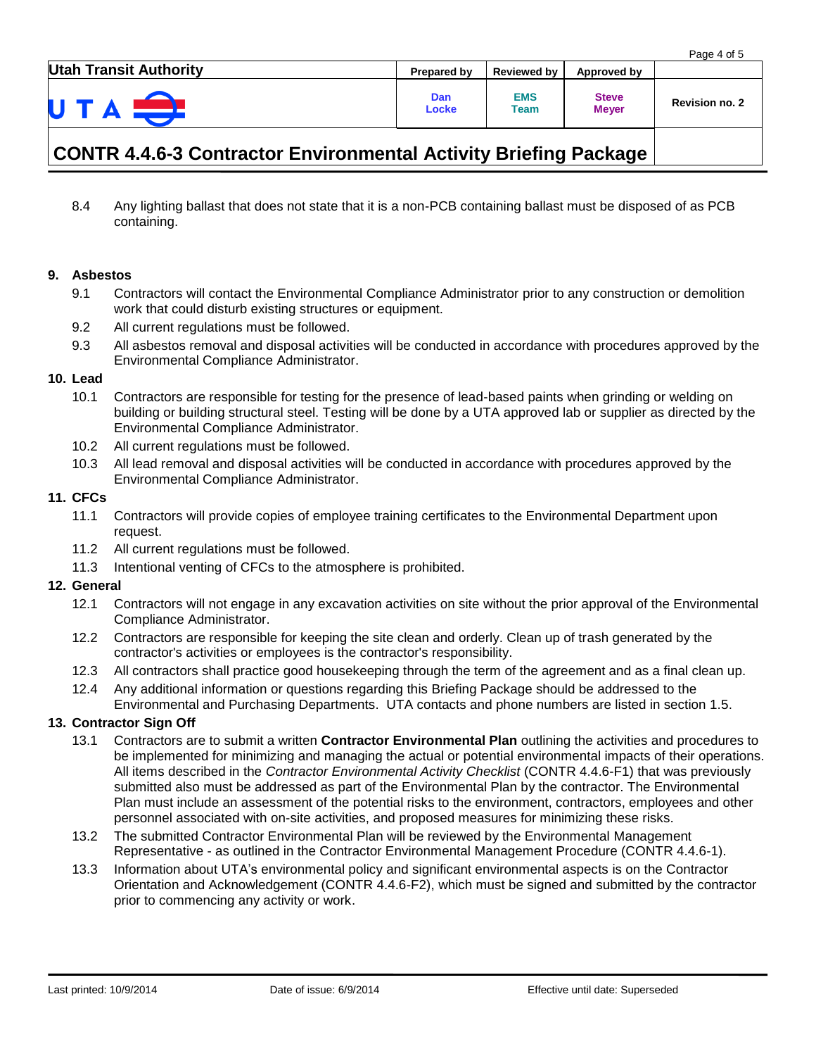| <b>Utah Transit Authority</b> | <b>Prepared by</b> | <b>Reviewed by</b>                     | Approved by                  |                       |
|-------------------------------|--------------------|----------------------------------------|------------------------------|-----------------------|
| UTA                           | Dan<br>Locke       | <b>EMS</b><br>$\mathop{\mathsf{Team}}$ | <b>Steve</b><br><b>Meyer</b> | <b>Revision no. 2</b> |

8.4 Any lighting ballast that does not state that it is a non-PCB containing ballast must be disposed of as PCB containing.

#### **9. Asbestos**

- 9.1 Contractors will contact the Environmental Compliance Administrator prior to any construction or demolition work that could disturb existing structures or equipment.
- 9.2 All current regulations must be followed.
- 9.3 All asbestos removal and disposal activities will be conducted in accordance with procedures approved by the Environmental Compliance Administrator.

#### **10. Lead**

- 10.1 Contractors are responsible for testing for the presence of lead-based paints when grinding or welding on building or building structural steel. Testing will be done by a UTA approved lab or supplier as directed by the Environmental Compliance Administrator.
- 10.2 All current regulations must be followed.
- 10.3 All lead removal and disposal activities will be conducted in accordance with procedures approved by the Environmental Compliance Administrator.

#### **11. CFCs**

- 11.1 Contractors will provide copies of employee training certificates to the Environmental Department upon request.
- 11.2 All current regulations must be followed.
- 11.3 Intentional venting of CFCs to the atmosphere is prohibited.

### **12. General**

- 12.1 Contractors will not engage in any excavation activities on site without the prior approval of the Environmental Compliance Administrator.
- 12.2 Contractors are responsible for keeping the site clean and orderly. Clean up of trash generated by the contractor's activities or employees is the contractor's responsibility.
- 12.3 All contractors shall practice good housekeeping through the term of the agreement and as a final clean up.
- 12.4 Any additional information or questions regarding this Briefing Package should be addressed to the Environmental and Purchasing Departments. UTA contacts and phone numbers are listed in section 1.5.

### **13. Contractor Sign Off**

- 13.1 Contractors are to submit a written **Contractor Environmental Plan** outlining the activities and procedures to be implemented for minimizing and managing the actual or potential environmental impacts of their operations. All items described in the *Contractor Environmental Activity Checklist* (CONTR 4.4.6-F1) that was previously submitted also must be addressed as part of the Environmental Plan by the contractor. The Environmental Plan must include an assessment of the potential risks to the environment, contractors, employees and other personnel associated with on-site activities, and proposed measures for minimizing these risks.
- 13.2 The submitted Contractor Environmental Plan will be reviewed by the Environmental Management Representative - as outlined in the Contractor Environmental Management Procedure (CONTR 4.4.6-1).
- 13.3 Information about UTA's environmental policy and significant environmental aspects is on the Contractor Orientation and Acknowledgement (CONTR 4.4.6-F2), which must be signed and submitted by the contractor prior to commencing any activity or work.